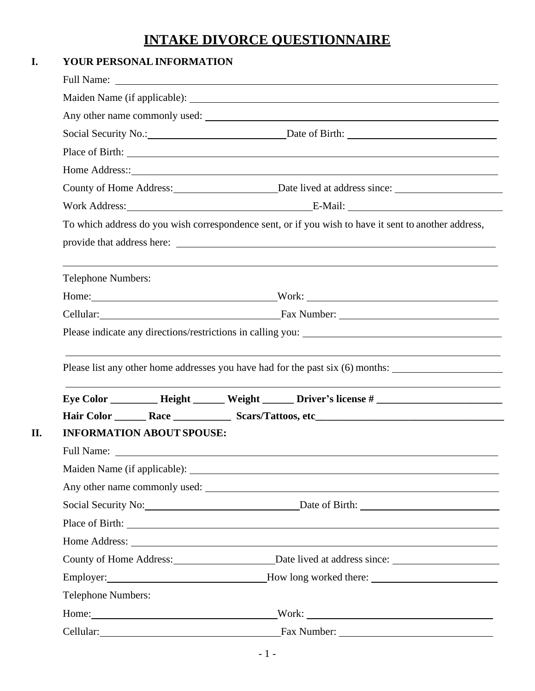# **INTAKE DIVORCE QUESTIONNAIRE**

|                           | YOUR PERSONAL INFORMATION                                                                                                                                                                                                      |                                                                                                                                                                                                                               |  |  |
|---------------------------|--------------------------------------------------------------------------------------------------------------------------------------------------------------------------------------------------------------------------------|-------------------------------------------------------------------------------------------------------------------------------------------------------------------------------------------------------------------------------|--|--|
|                           |                                                                                                                                                                                                                                |                                                                                                                                                                                                                               |  |  |
|                           |                                                                                                                                                                                                                                |                                                                                                                                                                                                                               |  |  |
|                           |                                                                                                                                                                                                                                | Any other name commonly used:                                                                                                                                                                                                 |  |  |
|                           |                                                                                                                                                                                                                                |                                                                                                                                                                                                                               |  |  |
|                           |                                                                                                                                                                                                                                |                                                                                                                                                                                                                               |  |  |
|                           |                                                                                                                                                                                                                                |                                                                                                                                                                                                                               |  |  |
|                           | County of Home Address: Date lived at address since: ____________________________                                                                                                                                              |                                                                                                                                                                                                                               |  |  |
|                           |                                                                                                                                                                                                                                | Work Address: E-Mail: E-Mail:                                                                                                                                                                                                 |  |  |
|                           |                                                                                                                                                                                                                                | To which address do you wish correspondence sent, or if you wish to have it sent to another address,                                                                                                                          |  |  |
|                           |                                                                                                                                                                                                                                |                                                                                                                                                                                                                               |  |  |
| <b>Telephone Numbers:</b> |                                                                                                                                                                                                                                | ,我们也不会有什么。""我们的人,我们也不会有什么?""我们的人,我们也不会有什么?""我们的人,我们也不会有什么?""我们的人,我们也不会有什么?""我们的人                                                                                                                                              |  |  |
|                           |                                                                                                                                                                                                                                |                                                                                                                                                                                                                               |  |  |
|                           |                                                                                                                                                                                                                                |                                                                                                                                                                                                                               |  |  |
|                           |                                                                                                                                                                                                                                |                                                                                                                                                                                                                               |  |  |
|                           |                                                                                                                                                                                                                                | Please list any other home addresses you have had for the past six (6) months:                                                                                                                                                |  |  |
|                           |                                                                                                                                                                                                                                | the control of the control of the control of the control of the control of the control of the control of the control of the control of the control of the control of the control of the control of the control of the control |  |  |
|                           |                                                                                                                                                                                                                                |                                                                                                                                                                                                                               |  |  |
|                           | <b>INFORMATION ABOUT SPOUSE:</b>                                                                                                                                                                                               |                                                                                                                                                                                                                               |  |  |
|                           |                                                                                                                                                                                                                                |                                                                                                                                                                                                                               |  |  |
|                           |                                                                                                                                                                                                                                |                                                                                                                                                                                                                               |  |  |
|                           |                                                                                                                                                                                                                                |                                                                                                                                                                                                                               |  |  |
|                           |                                                                                                                                                                                                                                | Social Security No: Date of Birth: 2002 Date of Birth:                                                                                                                                                                        |  |  |
|                           |                                                                                                                                                                                                                                |                                                                                                                                                                                                                               |  |  |
|                           |                                                                                                                                                                                                                                |                                                                                                                                                                                                                               |  |  |
|                           |                                                                                                                                                                                                                                | County of Home Address: <u>Date lived</u> at address since:                                                                                                                                                                   |  |  |
|                           |                                                                                                                                                                                                                                |                                                                                                                                                                                                                               |  |  |
| <b>Telephone Numbers:</b> |                                                                                                                                                                                                                                |                                                                                                                                                                                                                               |  |  |
|                           |                                                                                                                                                                                                                                |                                                                                                                                                                                                                               |  |  |
|                           | Home: New York Changes and School Changes and School Changes and School Changes and School Changes and School Changes and School Changes and School Changes and School Changes and School Changes and School Changes and Schoo | Work:                                                                                                                                                                                                                         |  |  |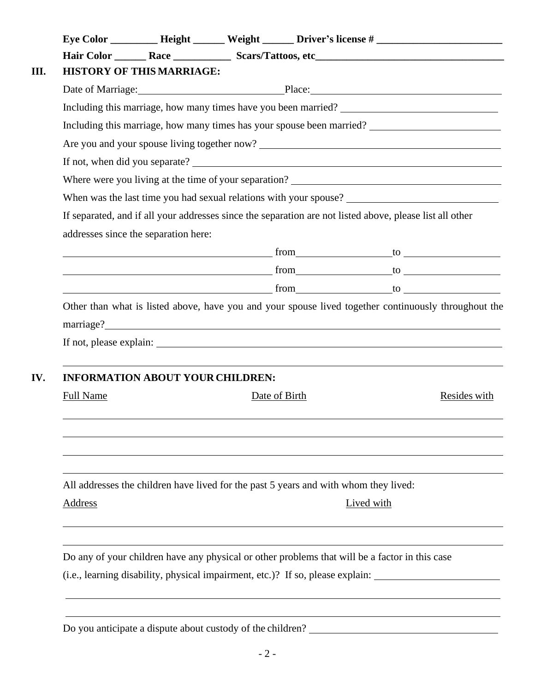|                  |                                         | Eye Color ___________ Height _______ Weight _______ Driver's license # _____________________________ |                                                                                      |                                                                                                          |              |
|------------------|-----------------------------------------|------------------------------------------------------------------------------------------------------|--------------------------------------------------------------------------------------|----------------------------------------------------------------------------------------------------------|--------------|
|                  |                                         |                                                                                                      |                                                                                      |                                                                                                          |              |
|                  | <b>HISTORY OF THIS MARRIAGE:</b>        |                                                                                                      |                                                                                      |                                                                                                          |              |
|                  |                                         |                                                                                                      |                                                                                      | Date of Marriage: Place: Place:                                                                          |              |
|                  |                                         |                                                                                                      |                                                                                      |                                                                                                          |              |
|                  |                                         |                                                                                                      |                                                                                      | Including this marriage, how many times has your spouse been married? _____________________________      |              |
|                  |                                         |                                                                                                      |                                                                                      |                                                                                                          |              |
|                  |                                         |                                                                                                      |                                                                                      |                                                                                                          |              |
|                  |                                         |                                                                                                      |                                                                                      |                                                                                                          |              |
|                  |                                         |                                                                                                      |                                                                                      |                                                                                                          |              |
|                  |                                         |                                                                                                      |                                                                                      | If separated, and if all your addresses since the separation are not listed above, please list all other |              |
|                  | addresses since the separation here:    |                                                                                                      |                                                                                      |                                                                                                          |              |
|                  |                                         |                                                                                                      |                                                                                      | $from$ to the set of $\sim$ to $\sim$ to $\sim$ to $\sim$                                                |              |
|                  |                                         |                                                                                                      |                                                                                      |                                                                                                          |              |
|                  |                                         |                                                                                                      |                                                                                      |                                                                                                          |              |
|                  |                                         |                                                                                                      |                                                                                      | Other than what is listed above, have you and your spouse lived together continuously throughout the     |              |
|                  |                                         |                                                                                                      |                                                                                      |                                                                                                          |              |
|                  | <b>INFORMATION ABOUT YOUR CHILDREN:</b> |                                                                                                      |                                                                                      |                                                                                                          |              |
| <b>Full Name</b> |                                         |                                                                                                      | Date of Birth                                                                        |                                                                                                          |              |
|                  |                                         |                                                                                                      |                                                                                      |                                                                                                          |              |
|                  |                                         |                                                                                                      |                                                                                      |                                                                                                          |              |
|                  |                                         |                                                                                                      | All addresses the children have lived for the past 5 years and with whom they lived: |                                                                                                          | Resides with |
| Address          |                                         |                                                                                                      |                                                                                      | Lived with                                                                                               |              |
|                  |                                         |                                                                                                      |                                                                                      |                                                                                                          |              |
|                  |                                         |                                                                                                      |                                                                                      | Do any of your children have any physical or other problems that will be a factor in this case           |              |

Do you anticipate a dispute about custody of the children?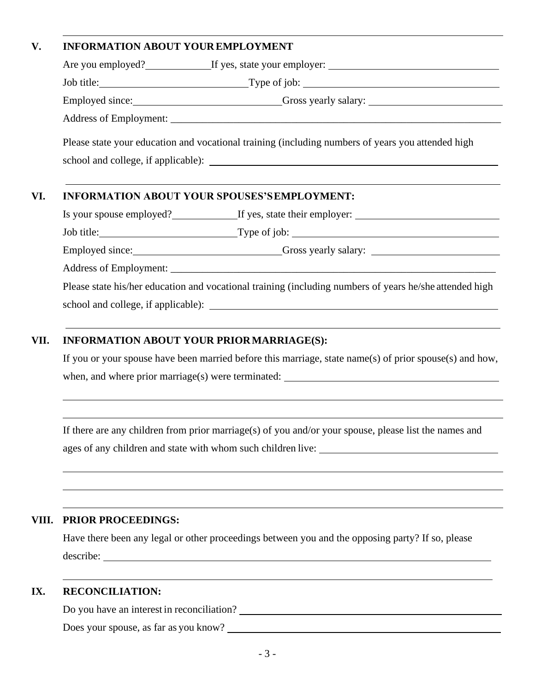## **V. INFORMATION ABOUT YOUREMPLOYMENT**

| Are you employed?<br>If yes, state your employer:                                                 |
|---------------------------------------------------------------------------------------------------|
|                                                                                                   |
| Employed since: Cross yearly salary:                                                              |
| Address of Employment: example and a series of Employment:                                        |
| Please state your education and vocational training (including numbers of years you attended high |
|                                                                                                   |

Is your spouse employed?
In your spouse employed?
If yes, state their employer:
If yes, state their employer:
If yes, state their employer:
If yes, state their employer:
If yes, state their employer:
If yes, state their em

Job title: Type of job:

Employed since: Gross yearly salary:

Address of Employment:

Please state his/her education and vocational training (including numbers of years he/she attended high school and college, if applicable):

### **VII. INFORMATION ABOUT YOUR PRIORMARRIAGE(S):**

If you or your spouse have been married before this marriage, state name(s) of prior spouse(s) and how, when, and where prior marriage(s) were terminated:

If there are any children from prior marriage(s) of you and/or your spouse, please list the names and ages of any children and state with whom such children live:

#### **VIII. PRIOR PROCEEDINGS:**

Have there been any legal or other proceedings between you and the opposing party? If so, please describe: when the contract of the contract of the contract of the contract of the contract of the contract of the contract of the contract of the contract of the contract of the contract of the contract of the contract of

#### **IX. RECONCILIATION:**

Do you have an interest in reconciliation?

Does your spouse, as far as you know?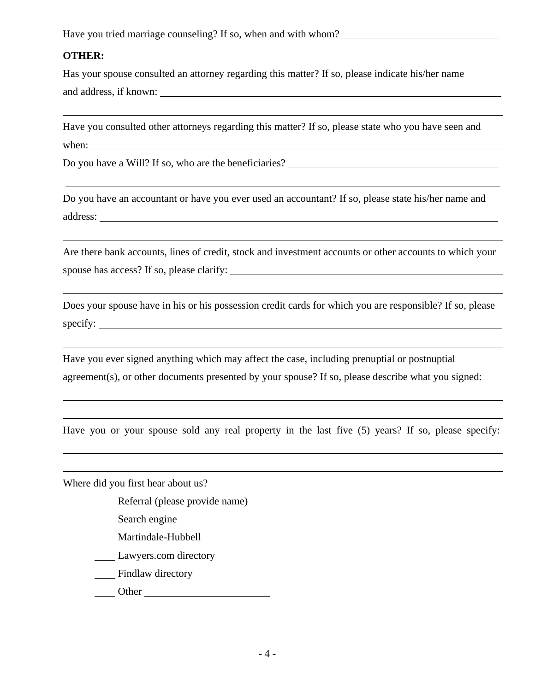Have you tried marriage counseling? If so, when and with whom?

#### **OTHER:**

Has your spouse consulted an attorney regarding this matter? If so, please indicate his/her name and address, if known:

Have you consulted other attorneys regarding this matter? If so, please state who you have seen and when:

Do you have a Will? If so, who are the beneficiaries?

Do you have an accountant or have you ever used an accountant? If so, please state his/her name and address:

Are there bank accounts, lines of credit, stock and investment accounts or other accounts to which your spouse has access? If so, please clarify:

Does your spouse have in his or his possession credit cards for which you are responsible? If so, please specify:

Have you ever signed anything which may affect the case, including prenuptial or postnuptial agreement(s), or other documents presented by your spouse? If so, please describe what you signed:

Have you or your spouse sold any real property in the last five (5) years? If so, please specify:

Where did you first hear about us?

- Referral (please provide name)
- \_\_\_\_ Search engine
- \_\_\_\_ Martindale-Hubbell
- Lawyers.com directory
- **Example 3** Findlaw directory
- Other